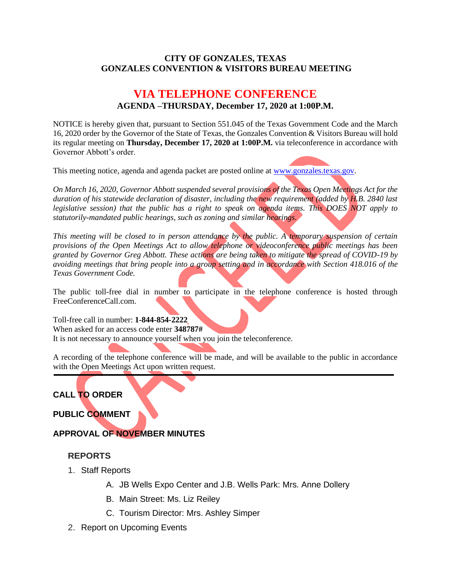#### **CITY OF GONZALES, TEXAS GONZALES CONVENTION & VISITORS BUREAU MEETING**

# **VIA TELEPHONE CONFERENCE AGENDA –THURSDAY, December 17, 2020 at 1:00P.M.**

NOTICE is hereby given that, pursuant to Section 551.045 of the Texas Government Code and the March 16, 2020 order by the Governor of the State of Texas, the Gonzales Convention & Visitors Bureau will hold its regular meeting on **Thursday, December 17, 2020 at 1:00P.M.** via teleconference in accordance with Governor Abbott's order.

This meeting notice, agenda and agenda packet are posted online at [www.gonzales.texas.gov.](http://www.gonzales.texas.gov/)

*On March 16, 2020, Governor Abbott suspended several provisions of the Texas Open Meetings Act for the duration of his statewide declaration of disaster, including the new requirement (added by H.B. 2840 last legislative session) that the public has a right to speak on agenda items. This DOES NOT apply to statutorily-mandated public hearings, such as zoning and similar hearings.* 

*This meeting will be closed to in person attendance by the public. A temporary suspension of certain provisions of the Open Meetings Act to allow telephone or videoconference public meetings has been granted by Governor Greg Abbott. These actions are being taken to mitigate the spread of COVID-19 by avoiding meetings that bring people into a group setting and in accordance with Section 418.016 of the Texas Government Code.*

The public toll-free dial in number to participate in the telephone conference is hosted through FreeConferenceCall.com.

Toll-free call in number: **1-844-854-2222** When asked for an access code enter **348787#** It is not necessary to announce yourself when you join the teleconference.

A recording of the telephone conference will be made, and will be available to the public in accordance with the Open Meetings Act upon written request.

# **CALL TO ORDER**

**PUBLIC COMMENT**

# **APPROVAL OF NOVEMBER MINUTES**

## **REPORTS**

- 1. Staff Reports
	- A. JB Wells Expo Center and J.B. Wells Park: Mrs. Anne Dollery
	- B. Main Street: Ms. Liz Reiley
	- C. Tourism Director: Mrs. Ashley Simper
- 2. Report on Upcoming Events